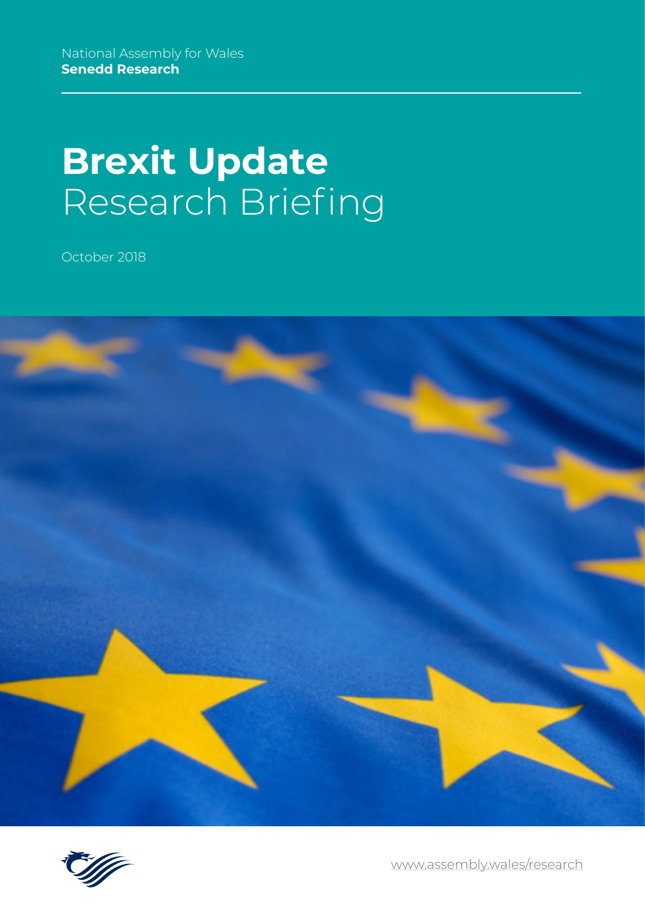# **Brexit Update** Research Briefing

October 2018





[www.assembly.wales/research](http://www.assembly.wales/research)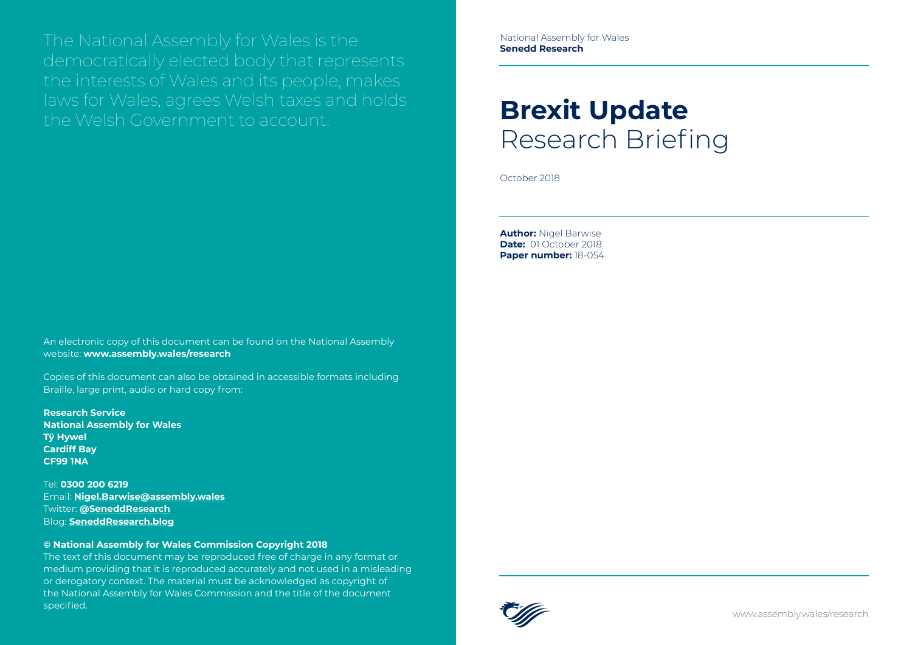# **Brexit Update** Research Briefing

October 2018

**Author:** Nigel Barwise **Date:** 01 October 2018 **Paper number:** 18-054

The National Assembly for Wales is the democratically elected body that represents the interests of Wales and its people, makes laws for Wales, agrees Welsh taxes and holds the Welsh Government to account.

The text of this document may be reproduced free of charge in any format or medium providing that it is reproduced accurately and not used in a misleading or derogatory context. The material must be acknowledged as copyright of the National Assembly for Wales Commission and the title of the document specified.<br>The contract of the contract of the contract of the contract of the contract of the contract of the contract of

An electronic copy of this document can be found on the National Assembly website: **www.assembly.wales/research**

Copies of this document can also be obtained in accessible formats including Braille, large print, audio or hard copy from:

**Research Service National Assembly for Wales Tŷ Hywel Cardiff Bay CF99 1NA**

Tel: **0300 200 6219** Email: **[Nigel.Barwise@assembly.wales](mailto:Nigel.Barwise%40assembly.wales?subject=)** Twitter: **[@SeneddResearch](http://www.twitter.com/@SeneddResearch)** Blog: **[SeneddResearch.blog](http://SeneddResearch.blog)**

#### **© National Assembly for Wales Commission Copyright 2018**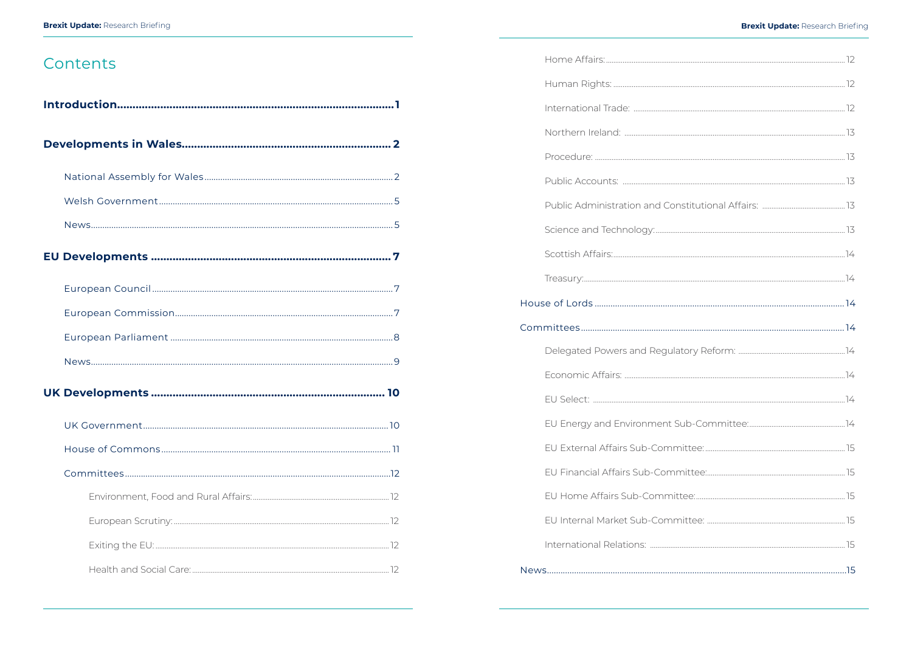## Contents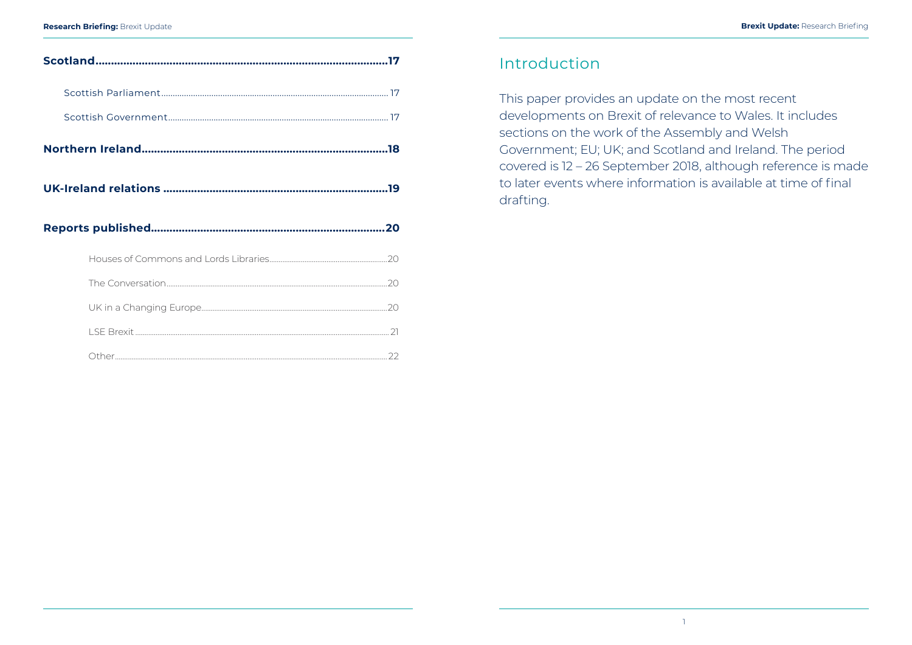## Introduction

This paper provides an update on the most recent developments on Brexit of relevance to Wales. It includes sections on the work of the Assembly and Welsh Government; EU; UK; and Scotland and Ireland. The period covered is 12 – 26 September 2018, although reference is made to later events where information is available at time of final drafting.

<span id="page-3-0"></span>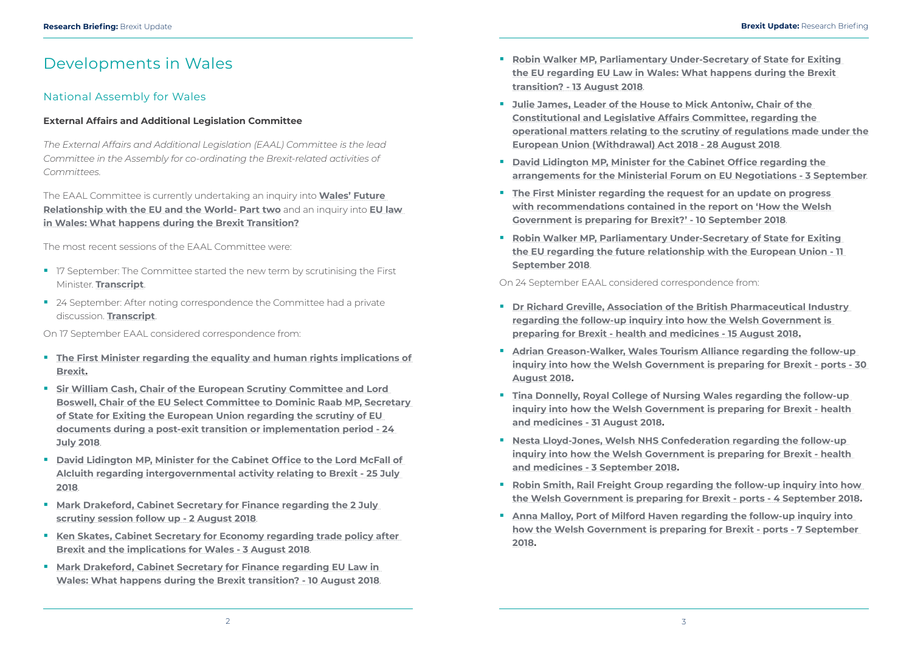- **Robin Walker MP, Parliamentary Under-Secretary of State for Exiting [the EU regarding EU Law in Wales: What happens during the Brexit](http://senedd.assembly.wales/documents/s78098/Correspondence%20from%20Robin%20Walker%20MP%20Parliamentary%20Under-Secretary%20of%20State%20for%20Exiting%20the%20EU%20regar.pdf)  [transition? - 13 August 2018](http://senedd.assembly.wales/documents/s78098/Correspondence%20from%20Robin%20Walker%20MP%20Parliamentary%20Under-Secretary%20of%20State%20for%20Exiting%20the%20EU%20regar.pdf)**.
- **Julie James, Leader of the House to Mick Antoniw, Chair of the [Constitutional and Legislative Affairs Committee, regarding the](http://senedd.assembly.wales/documents/s78207/Correspondence%20from%20Julie%20James%20Leader%20of%20the%20House%20to%20Mick%20Antoniw%20Chair%20of%20the%20Constitutional%20an.pdf)  [operational matters relating to the scrutiny of regulations made under the](http://senedd.assembly.wales/documents/s78207/Correspondence%20from%20Julie%20James%20Leader%20of%20the%20House%20to%20Mick%20Antoniw%20Chair%20of%20the%20Constitutional%20an.pdf)  [European Union \(Withdrawal\) Act 2018 - 28 August 2018](http://senedd.assembly.wales/documents/s78207/Correspondence%20from%20Julie%20James%20Leader%20of%20the%20House%20to%20Mick%20Antoniw%20Chair%20of%20the%20Constitutional%20an.pdf)**.
- **P** David Lidington MP, Minister for the Cabinet Office regarding the **[arrangements for the Ministerial Forum on EU Negotiations - 3 September](http://senedd.assembly.wales/documents/s78212/Correspondence%20from%20David%20Lidington%20MP%20Minister%20for%20the%20Cabinet%20Office%20regarding%20the%20arrangements%20f.pdf)**.
- **The First Minister regarding the request for an update on progress [with recommendations contained in the report on 'How the Welsh](http://senedd.assembly.wales/documents/s78208/Correspondence%20from%20Carwyn%20Jones%20First%20Minister%20of%20Wales%20regarding%20the%20request%20for%20an%20update%20on%20pro.pdf)  [Government is preparing for Brexit?' - 10 September 2018](http://senedd.assembly.wales/documents/s78208/Correspondence%20from%20Carwyn%20Jones%20First%20Minister%20of%20Wales%20regarding%20the%20request%20for%20an%20update%20on%20pro.pdf)**.
- **Robin Walker MP, Parliamentary Under-Secretary of State for Exiting [the EU regarding the future relationship with the European Union - 11](http://senedd.assembly.wales/documents/s78266/Correspondence%20from%20Robin%20Walker%20MP%20Parliamentary%20Under-Secretary%20of%20State%20for%20Exiting%20the%20EU%20regar.pdf)  [September 2018](http://senedd.assembly.wales/documents/s78266/Correspondence%20from%20Robin%20Walker%20MP%20Parliamentary%20Under-Secretary%20of%20State%20for%20Exiting%20the%20EU%20regar.pdf)**.

#### On 24 September EAAL considered correspondence from:

**[inquiry into how the Welsh Government is preparing for Brexit - ports - 30](http://senedd.assembly.wales/documents/s78596/Correspondence%20from%20Adrian%20Greason-Walker%20Wales%20Tourism%20Alliance%20regarding%20the%20follow-up%20inquiry%20in.pdf)** 

- 17 September: The Committee started the new term by scrutinising the First Minister. **[Transcript](http://record.assembly.wales/Committee/5048)**.
- 24 September: After noting correspondence the Committee had a private discussion. **[Transcript](http://record.assembly.wales/Committee/5049)**.
- **[Dr Richard Greville, Association of the British Pharmaceutical Industry](http://senedd.assembly.wales/documents/s78595/Correspondence%20from%20Dr%20Richard%20Greville%20Association%20of%20the%20British%20Pharmaceutical%20Industry%20regardin.pdf)  [regarding the follow-up inquiry into how the Welsh Government is](http://senedd.assembly.wales/documents/s78595/Correspondence%20from%20Dr%20Richard%20Greville%20Association%20of%20the%20British%20Pharmaceutical%20Industry%20regardin.pdf)  [preparing for Brexit - health and medicines - 15 August 2018.](http://senedd.assembly.wales/documents/s78595/Correspondence%20from%20Dr%20Richard%20Greville%20Association%20of%20the%20British%20Pharmaceutical%20Industry%20regardin.pdf)**
- **Adrian Greason-Walker, Wales Tourism Alliance regarding the follow-up [August 2018.](http://senedd.assembly.wales/documents/s78596/Correspondence%20from%20Adrian%20Greason-Walker%20Wales%20Tourism%20Alliance%20regarding%20the%20follow-up%20inquiry%20in.pdf)**
- **Tina Donnelly, Royal College of Nursing Wales regarding the follow-up [inquiry into how the Welsh Government is preparing for Brexit - health](http://senedd.assembly.wales/documents/s78597/Correspondence%20from%20Tina%20Donnelly%20Royal%20College%20of%20Nursing%20Wales%20regarding%20the%20follow-up%20inquiry%20in.pdf)  [and medicines - 31 August 2018](http://senedd.assembly.wales/documents/s78597/Correspondence%20from%20Tina%20Donnelly%20Royal%20College%20of%20Nursing%20Wales%20regarding%20the%20follow-up%20inquiry%20in.pdf).**
- **Nesta Lloyd-Jones, Welsh NHS Confederation regarding the follow-up [inquiry into how the Welsh Government is preparing for Brexit - health](http://senedd.assembly.wales/documents/s78598/Correspondence%20from%20Nesta%20Lloyd-Jones%20Welsh%20NHS%20Confederation%20regarding%20the%20follow-up%20inquiry%20into%20.pdf)  [and medicines - 3 September 2018.](http://senedd.assembly.wales/documents/s78598/Correspondence%20from%20Nesta%20Lloyd-Jones%20Welsh%20NHS%20Confederation%20regarding%20the%20follow-up%20inquiry%20into%20.pdf)**
- **Robin Smith, Rail Freight Group regarding the follow-up inquiry into how [the Welsh Government is preparing for Brexit - ports - 4 September 2018.](http://senedd.assembly.wales/documents/s78599/Correspondence%20from%20Robin%20Smith%20Rail%20Freight%20Group%20regarding%20the%20follow-up%20inquiry%20into%20how%20the%20Wel.pdf)**
- **[Anna Malloy, Port of Milford Haven regarding the follow-up inquiry into](http://senedd.assembly.wales/documents/s78600/Correspondence%20from%20Anna%20Malloy%20Port%20of%20Milford%20Haven%20regarding%20the%20follow-up%20inquiry%20into%20how%20the%20.pdf)  [how the Welsh Government is preparing for Brexit - ports - 7 September](http://senedd.assembly.wales/documents/s78600/Correspondence%20from%20Anna%20Malloy%20Port%20of%20Milford%20Haven%20regarding%20the%20follow-up%20inquiry%20into%20how%20the%20.pdf)  [2018](http://senedd.assembly.wales/documents/s78600/Correspondence%20from%20Anna%20Malloy%20Port%20of%20Milford%20Haven%20regarding%20the%20follow-up%20inquiry%20into%20how%20the%20.pdf).**

## <span id="page-4-0"></span>Developments in Wales

### National Assembly for Wales

#### **External Affairs and Additional Legislation Committee**

*The External Affairs and Additional Legislation (EAAL) Committee is the lead Committee in the Assembly for co-ordinating the Brexit-related activities of Committees.*

The EAAL Committee is currently undertaking an inquiry into **[Wales' Future](http://www.senedd.assembly.wales/mgIssueHistoryHome.aspx?IId=22269)  [Relationship with the EU and the World- Part two](http://www.senedd.assembly.wales/mgIssueHistoryHome.aspx?IId=22269)** and an inquiry into **[EU law](http://senedd.assembly.wales/mgIssueHistoryHome.aspx?IId=22155)  [in Wales: What happens during the Brexit Transition?](http://senedd.assembly.wales/mgIssueHistoryHome.aspx?IId=22155)**

The most recent sessions of the EAAL Committee were:

On 17 September EAAL considered correspondence from:

- **[The First Minister regarding the equality and human rights implications of](http://senedd.assembly.wales/documents/s78091/Correspondence%20from%20the%20First%20Minister%20of%20Wales%20regarding%20the%20equality%20and%20human%20rights%20implications.pdf)  [Brexit](http://senedd.assembly.wales/documents/s78091/Correspondence%20from%20the%20First%20Minister%20of%20Wales%20regarding%20the%20equality%20and%20human%20rights%20implications.pdf).**
- **[Sir William Cash, Chair of the European Scrutiny Committee and Lord](http://senedd.assembly.wales/documents/s78094/Correspondence%20from%20Sir%20William%20Cash%20Chair%20of%20the%20European%20Scrutiny%20Committee%20and%20Lord%20Boswell%20Cha.pdf)  [Boswell, Chair of the EU Select Committee to Dominic Raab MP, Secretary](http://senedd.assembly.wales/documents/s78094/Correspondence%20from%20Sir%20William%20Cash%20Chair%20of%20the%20European%20Scrutiny%20Committee%20and%20Lord%20Boswell%20Cha.pdf)  [of State for Exiting the European Union regarding the scrutiny of EU](http://senedd.assembly.wales/documents/s78094/Correspondence%20from%20Sir%20William%20Cash%20Chair%20of%20the%20European%20Scrutiny%20Committee%20and%20Lord%20Boswell%20Cha.pdf)  [documents during a post-exit transition or implementation period - 24](http://senedd.assembly.wales/documents/s78094/Correspondence%20from%20Sir%20William%20Cash%20Chair%20of%20the%20European%20Scrutiny%20Committee%20and%20Lord%20Boswell%20Cha.pdf)  [July 2018](http://senedd.assembly.wales/documents/s78094/Correspondence%20from%20Sir%20William%20Cash%20Chair%20of%20the%20European%20Scrutiny%20Committee%20and%20Lord%20Boswell%20Cha.pdf)**.
- **P** David Lidington MP, Minister for the Cabinet Office to the Lord McFall of **[Alcluith regarding intergovernmental activity relating to Brexit - 25 July](http://senedd.assembly.wales/documents/s78093/Correspondence%20from%20David%20Lidington%20MP%20Minister%20for%20the%20Cabinet%20Office%20to%20the%20Lord%20McFall%20of%20Alclui.pdf)  [2018](http://senedd.assembly.wales/documents/s78093/Correspondence%20from%20David%20Lidington%20MP%20Minister%20for%20the%20Cabinet%20Office%20to%20the%20Lord%20McFall%20of%20Alclui.pdf)**.
- **Mark Drakeford, Cabinet Secretary for Finance regarding the 2 July [scrutiny session follow up - 2 August 2018](http://senedd.assembly.wales/documents/s78095/Correspondence%20from%20Mark%20Drakeford%20Cabinet%20Secretary%20for%20Finance%20regarding%20the%202%20July%20scrutiny%20sess.pdf)**.
- **Ken Skates, Cabinet Secretary for Economy regarding trade policy after [Brexit and the implications for Wales - 3 August 2018](http://senedd.assembly.wales/documents/s78096/Correspondence%20from%20Ken%20Skates%20Cabinet%20Secretary%20for%20Economy%20regarding%20trade%20policy%20after%20Brexit%20an.pdf)**.
- **Mark Drakeford, Cabinet Secretary for Finance regarding EU Law in [Wales: What happens during the Brexit transition? - 10 August 2018](http://senedd.assembly.wales/documents/s78097/Correspondence%20from%20Mark%20Drakeford%20Cabinet%20Secretary%20for%20Finance%20regarding%20EU%20Law%20in%20Wales%20What%20ha.pdf)**.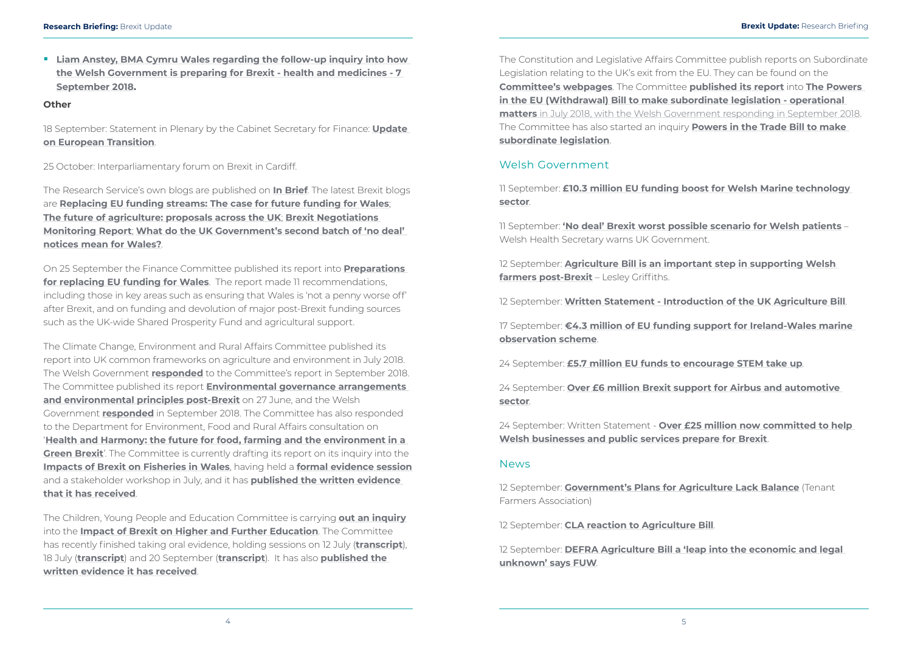<span id="page-5-0"></span> **[Liam Anstey, BMA Cymru Wales regarding the follow-up inquiry into how](http://senedd.assembly.wales/documents/s78601/Correspondence%20from%20Liam%20Anstey%20BMA%20Cymru%20Wales%20regarding%20the%20follow-up%20inquiry%20into%20how%20the%20Welsh%20.pdf)  [the Welsh Government is preparing for Brexit - health and medicines - 7](http://senedd.assembly.wales/documents/s78601/Correspondence%20from%20Liam%20Anstey%20BMA%20Cymru%20Wales%20regarding%20the%20follow-up%20inquiry%20into%20how%20the%20Welsh%20.pdf)  [September 2018.](http://senedd.assembly.wales/documents/s78601/Correspondence%20from%20Liam%20Anstey%20BMA%20Cymru%20Wales%20regarding%20the%20follow-up%20inquiry%20into%20how%20the%20Welsh%20.pdf)**

#### **Other**

18 September: Statement in Plenary by the Cabinet Secretary for Finance: **Update on European Transition**.

25 October: Interparliamentary forum on Brexit in Cardiff.

The Research Service's own blogs are published on **[In Brief](https://assemblyinbrief.wordpress.com/)**. The latest Brexit blogs are **[Replacing EU funding streams: The case for future funding for Wales](https://seneddresearch.blog/2018/09/25/replacing-eu-funding-streams-the-case-for-future-funding-for-wales/)**; **[The future of agriculture: proposals across the UK](https://seneddresearch.blog/2018/09/24/the-future-of-agriculture-proposals-across-the-uk/)**; **[Brexit Negotiations](https://seneddresearch.blog/2018/09/21/brexit-update-29/)  [Monitoring Report](https://seneddresearch.blog/2018/09/21/brexit-update-29/)**; **[What do the UK Government's second batch of 'no deal'](https://seneddresearch.blog/2018/09/18/what-do-the-uk-governments-second-batch-of-no-deal-notices-mean-for-wales/)  [notices mean for Wales?](https://seneddresearch.blog/2018/09/18/what-do-the-uk-governments-second-batch-of-no-deal-notices-mean-for-wales/)**.

On 25 September the Finance Committee published its report into **[Preparations](http://www.assembly.wales/laid%20documents/cr-ld11748/cr-ld11748-e.pdf)  [for replacing EU funding for Wales](http://www.assembly.wales/laid%20documents/cr-ld11748/cr-ld11748-e.pdf)**. The report made 11 recommendations, including those in key areas such as ensuring that Wales is 'not a penny worse off' after Brexit, and on funding and devolution of major post-Brexit funding sources such as the UK-wide Shared Prosperity Fund and agricultural support.

12 September: **[Agriculture Bill is an important step in supporting Welsh](https://gov.wales/newsroom/environmentandcountryside/2018/180912-agriculture-bill-is-an-important-step-in-supporting-welsh-farmers-post-Brexit-lesley-griffiths/?lang=en)  [farmers post-Brexit](https://gov.wales/newsroom/environmentandcountryside/2018/180912-agriculture-bill-is-an-important-step-in-supporting-welsh-farmers-post-Brexit-lesley-griffiths/?lang=en)** - Lesley Griffiths.

The Climate Change, Environment and Rural Affairs Committee published its report into UK common frameworks on agriculture and environment in July 2018. The Welsh Government **[responded](http://www.assembly.wales/laid%20documents/gen-ld11724/gen-ld11724-e.pdf)** to the Committee's report in September 2018. The Committee published its report **[Environmental governance arrangements](http://www.assembly.wales/laid%20documents/cr-ld11622/cr-ld11622-e.pdf)  [and environmental principles post-Brexit](http://www.assembly.wales/laid%20documents/cr-ld11622/cr-ld11622-e.pdf)** on 27 June, and the Welsh Government **[responded](http://www.assembly.wales/laid%20documents/gen-ld11728/gen-ld11728-e.pdf)** in September 2018. The Committee has also responded to the Department for Environment, Food and Rural Affairs consultation on '**[Health and Harmony: the future for food, farming and the environment in a](http://senedd.assembly.wales/documents/s74641/The%20Committee%20has%20responded%20to%20the%20Department%20for%20Environment%20Food%20and%20Rural%20Affairs%20consultation.pdf)  [Green Brexit](http://senedd.assembly.wales/documents/s74641/The%20Committee%20has%20responded%20to%20the%20Department%20for%20Environment%20Food%20and%20Rural%20Affairs%20consultation.pdf)**'. The Committee is currently drafting its report on its inquiry into the **[Impacts of Brexit on Fisheries in Wales](http://senedd.assembly.wales/mgConsultationDisplay.aspx?id=303&RPID=1510639581&cp=yes)**, having held a **formal evidence session** and a stakeholder workshop in July, and it has **[published the written evidence](http://senedd.assembly.wales/mgConsultationDisplay.aspx?id=303&RPID=1510740400&cp=yes)  [that it has received](http://senedd.assembly.wales/mgConsultationDisplay.aspx?id=303&RPID=1510740400&cp=yes)**.

The Children, Young People and Education Committee is carrying **[out an inquiry](http://www.senedd.assembly.wales/mgConsultationDisplay.aspx?id=302&RPID=1510639560&cp=yes)** into the **[Impact of Brexit on Higher and Further Education](http://www.senedd.assembly.wales/mgIssueHistoryHome.aspx?IId=21881)**. The Committee has recently finished taking oral evidence, holding sessions on 12 July (**[transcript](http://record.assembly.wales/Committee/4805)**), 18 July (**[transcript](http://record.assembly.wales/Committee/4806)**) and 20 September (**transcript**). It has also **[published the](http://www.senedd.assembly.wales/mgConsultationDisplay.aspx?id=302&RPID=1512951670&cp=yes)  [written evidence it has received](http://www.senedd.assembly.wales/mgConsultationDisplay.aspx?id=302&RPID=1512951670&cp=yes)**.

The Constitution and Legislative Affairs Committee publish reports on Subordinate Legislation relating to the UK's exit from the EU. They can be found on the **[Committee's webpages](http://senedd.assembly.wales/mgIssueHistoryHome.aspx?IId=20735)**. The Committee **[published its report](http://www.assembly.wales/laid%20documents/cr-ld11654/cr-ld11654-e.pdf)** into **[The Powers](http://senedd.assembly.wales/mgIssueHistoryHome.aspx?IId=22129)  [in the EU \(Withdrawal\) Bill to make subordinate legislation - operational](http://senedd.assembly.wales/mgIssueHistoryHome.aspx?IId=22129)  [matters](http://senedd.assembly.wales/mgIssueHistoryHome.aspx?IId=22129)** in July 2018, with the Welsh Government [responding in September 2018](http://senedd.assembly.wales/documents/s78319/%20Welsh%20Government%20response%20-%2013%20September%202018.pdf). The Committee has also started an inquiry **[Powers in the Trade Bill to make](http://senedd.assembly.wales/mgIssueHistoryHome.aspx?IId=21828&Opt=0)  [subordinate legislation](http://senedd.assembly.wales/mgIssueHistoryHome.aspx?IId=21828&Opt=0)**.

### Welsh Government

11 September: **[£10.3 million EU funding boost for Welsh Marine technology](https://gov.wales/newsroom/finance1/2018/180911-eu-funding-boost-for-welsh-marine-technology/?lang=en)  [sector](https://gov.wales/newsroom/finance1/2018/180911-eu-funding-boost-for-welsh-marine-technology/?lang=en)**.

11 September: **['No deal' Brexit worst possible scenario for Welsh patients](https://gov.wales/newsroom/health-and-social-services/2018/nodeal-brexit/?lang=en)** – Welsh Health Secretary warns UK Government.

12 September: **[Written Statement - Introduction of the UK Agriculture Bill](https://gov.wales/about/cabinet/cabinetstatements/2018/introukagribill/?lang=en)**.

17 September: **[€4.3 million of EU funding support for Ireland-Wales marine](https://gov.wales/newsroom/finance1/2018/180917-eu-funding-support-for-ireland-wales-marine-observation-scheme/?lang=en)  [observation scheme](https://gov.wales/newsroom/finance1/2018/180917-eu-funding-support-for-ireland-wales-marine-observation-scheme/?lang=en)**.

24 September: **[£5.7 million EU funds to encourage STEM take up](https://gov.wales/newsroom/finance1/2018/180924-eu-funds-to-encourage-stem-take-up/?lang=en)**.

24 September: **[Over £6 million Brexit support for Airbus and automotive](https://gov.wales/newsroom/firstminister/2018/180924-brexit-support-for-airbus-and-automotive-sector/?lang=en)  [sector](https://gov.wales/newsroom/firstminister/2018/180924-brexit-support-for-airbus-and-automotive-sector/?lang=en)**.

24 September: Written Statement - **[Over £25 million now committed to help](https://gov.wales/about/cabinet/cabinetstatements/2018/25millhelpwbusinessandpsbrexit/?lang=en)  [Welsh businesses and public services prepare for Brexit](https://gov.wales/about/cabinet/cabinetstatements/2018/25millhelpwbusinessandpsbrexit/?lang=en)**.

#### **News**

12 September: **[Government's Plans for Agriculture Lack Balance](http://www.tfa.org.uk/media-release-mr18-34governments-plans-for-agriculture-lack-balance/)** (Tenant Farmers Association)

12 September: **[CLA reaction to Agriculture Bill](https://www.cla.org.uk/cla-reaction-agriculture-bill)**.

12 September: **[DEFRA Agriculture Bill a 'leap into the economic and legal](https://fuw.org.uk/news/13204-defra-agriculture-bill-a-leap-into-the-economic-and-legal-unknown-says-fuw)  [unknown' says FUW](https://fuw.org.uk/news/13204-defra-agriculture-bill-a-leap-into-the-economic-and-legal-unknown-says-fuw)**.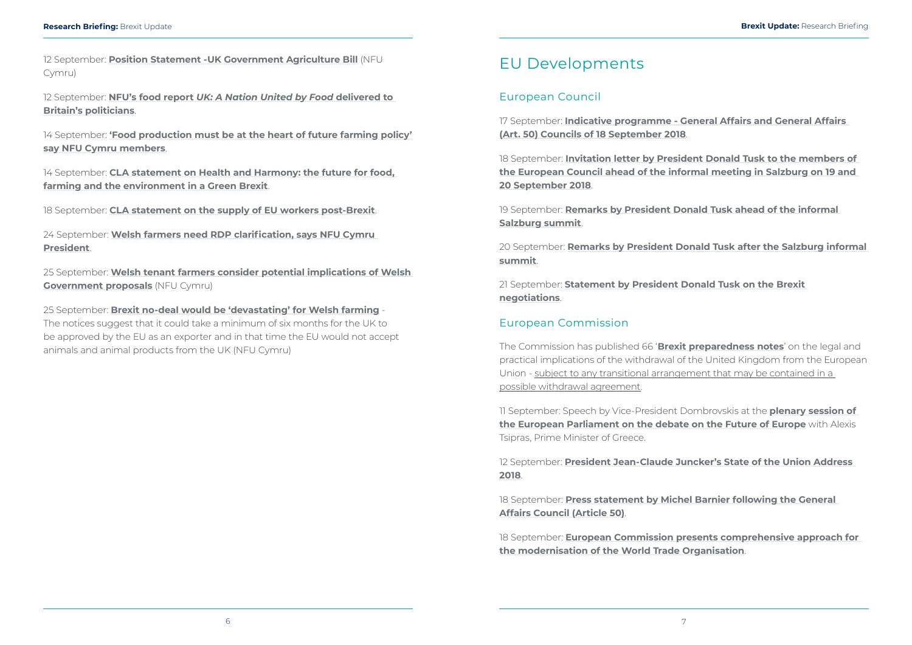<span id="page-6-0"></span>12 September: **[Position Statement -UK Government Agriculture Bill](https://www.nfu-cymru.org.uk/news/latest-news/position-statement-uk-government-agriculture-bill/)** (NFU Cymru)

12 September: **NFU's food report** *[UK: A Nation United by Food](https://www.nfu-cymru.org.uk/news/latest-news/nfus-food-report-delivered-to-britains-politicians/)* **delivered to [Britain's politicians](https://www.nfu-cymru.org.uk/news/latest-news/nfus-food-report-delivered-to-britains-politicians/)**.

14 September: **['Food production must be at the heart of future farming policy'](https://www.nfu-cymru.org.uk/news/latest-news/food-production-must-be-at-the-heart-of-future-farming-policy-say-nfu-cymru-members/)  [say NFU Cymru members](https://www.nfu-cymru.org.uk/news/latest-news/food-production-must-be-at-the-heart-of-future-farming-policy-say-nfu-cymru-members/)**.

14 September: **[CLA statement on Health and Harmony: the future for food,](https://www.cla.org.uk/cla-statement-health-and-harmony-future-food-farming-and-environment-green-brexit)  [farming and the environment in a Green Brexit](https://www.cla.org.uk/cla-statement-health-and-harmony-future-food-farming-and-environment-green-brexit)**.

18 September: **[CLA statement on the supply of EU workers post-Brexit](https://www.cla.org.uk/cla-statement-supply-eu-workers-post-brexit)**.

24 September: **[Welsh farmers need RDP clarification, says NFU Cymru](https://www.nfu-cymru.org.uk/news/latest-news/welsh-farmers-need-rdp-clarification-says-nfu-cymru-president/)  [President](https://www.nfu-cymru.org.uk/news/latest-news/welsh-farmers-need-rdp-clarification-says-nfu-cymru-president/)**.

25 September: **[Welsh tenant farmers consider potential implications of Welsh](https://www.nfu-cymru.org.uk/news/latest-news/welsh-tenant-farmers-consider-potential-implications-of-welsh-government-proposals/)  [Government proposals](https://www.nfu-cymru.org.uk/news/latest-news/welsh-tenant-farmers-consider-potential-implications-of-welsh-government-proposals/)** (NFU Cymru)

25 September: **[Brexit no-deal would be 'devastating' for Welsh farming](https://www.nfu-cymru.org.uk/news/latest-news/brexit-no-deal-would-be-devastating-for-welsh-farming/)** - The notices suggest that it could take a minimum of six months for the UK to be approved by the EU as an exporter and in that time the EU would not accept animals and animal products from the UK (NFU Cymru)

## EU Developments

### European Council

17 September: **[Indicative programme - General Affairs and General Affairs](http://www.consilium.europa.eu/en/press/press-releases/2018/09/17/indicative-programme-general-affairs-and-general-affairs-art-50-councils-of-18-september-2018/)  [\(Art. 50\) Councils of 18 September 2018](http://www.consilium.europa.eu/en/press/press-releases/2018/09/17/indicative-programme-general-affairs-and-general-affairs-art-50-councils-of-18-september-2018/)**.

18 September: **[Invitation letter by President Donald Tusk to the members of](http://www.consilium.europa.eu/en/press/press-releases/2018/09/18/invitation-letter-by-president-donald-tusk-to-the-members-of-the-european-council-ahead-of-the-informal-meeting-in-salzburg-on-19-and-20-september-2018/)  [the European Council ahead of the informal meeting in Salzburg on 19 and](http://www.consilium.europa.eu/en/press/press-releases/2018/09/18/invitation-letter-by-president-donald-tusk-to-the-members-of-the-european-council-ahead-of-the-informal-meeting-in-salzburg-on-19-and-20-september-2018/)  [20 September 2018](http://www.consilium.europa.eu/en/press/press-releases/2018/09/18/invitation-letter-by-president-donald-tusk-to-the-members-of-the-european-council-ahead-of-the-informal-meeting-in-salzburg-on-19-and-20-september-2018/)**.

19 September: **[Remarks by President Donald Tusk ahead of the informal](http://www.consilium.europa.eu/en/press/press-releases/2018/09/19/remarks-by-president-donald-tusk-ahead-of-the-informal-salzburg-summit/)  [Salzburg summit](http://www.consilium.europa.eu/en/press/press-releases/2018/09/19/remarks-by-president-donald-tusk-ahead-of-the-informal-salzburg-summit/)**.

20 September: **[Remarks by President Donald Tusk after the Salzburg informal](http://www.consilium.europa.eu/en/press/press-releases/2018/09/20/remarks-by-president-donald-tusk-after-the-salzburg-informal-summit/)  [summit](http://www.consilium.europa.eu/en/press/press-releases/2018/09/20/remarks-by-president-donald-tusk-after-the-salzburg-informal-summit/)**.

21 September: **[Statement by President Donald Tusk on the Brexit](http://www.consilium.europa.eu/en/press/press-releases/2018/09/21/statement-by-president-donald-tusk-on-the-brexit-negotiations/)  [negotiations](http://www.consilium.europa.eu/en/press/press-releases/2018/09/21/statement-by-president-donald-tusk-on-the-brexit-negotiations/)**.

### European Commission

The Commission has published 66 '**[Brexit preparedness notes](https://ec.europa.eu/info/brexit/brexit-preparedness/preparedness-notices_en)**' on the legal and practical implications of the withdrawal of the United Kingdom from the European Union - subject to any transitional arrangement that may be contained in a possible withdrawal agreement.

11 September: Speech by Vice-President Dombrovskis at the **[plenary session of](http://europa.eu/rapid/press-release_SPEECH-18-5741_en.htm)  [the European Parliament on the debate on the Future of Europe](http://europa.eu/rapid/press-release_SPEECH-18-5741_en.htm)** with Alexis Tsipras, Prime Minister of Greece.

12 September: **[President Jean-Claude Juncker's State of the Union Address](http://europa.eu/rapid/press-release_SPEECH-18-5808_en.htm)  [2018](http://europa.eu/rapid/press-release_SPEECH-18-5808_en.htm)**.

18 September: **[Press statement by Michel Barnier following the General](http://europa.eu/rapid/press-release_STATEMENT-18-5829_en.htm)  [Affairs Council \(Article 50\)](http://europa.eu/rapid/press-release_STATEMENT-18-5829_en.htm)**.

18 September: **[European Commission presents comprehensive approach for](http://europa.eu/rapid/press-release_IP-18-5786_en.htm)  [the modernisation of the World Trade Organisation](http://europa.eu/rapid/press-release_IP-18-5786_en.htm)**.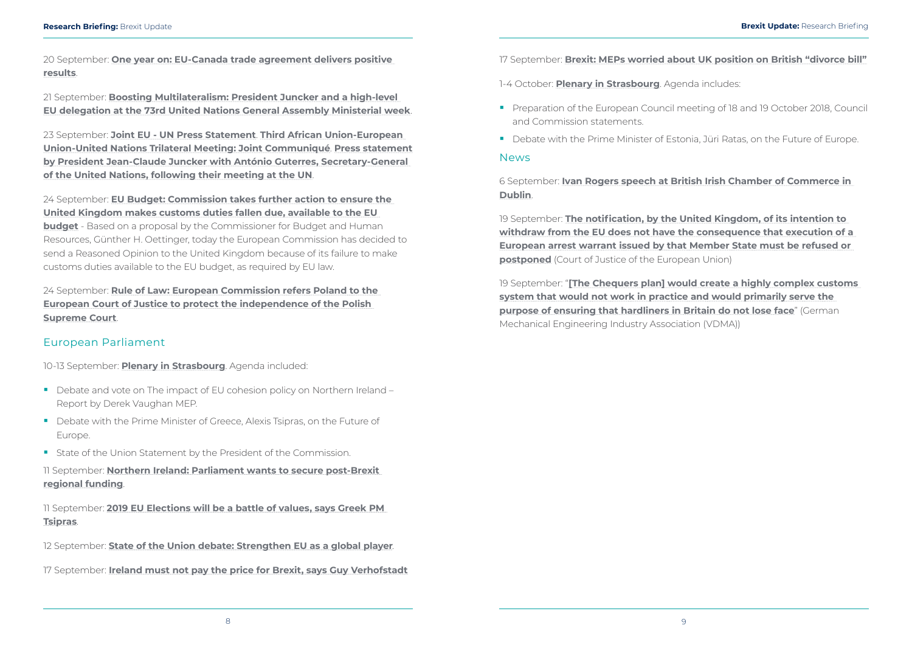<span id="page-7-0"></span>20 September: **[One year on: EU-Canada trade agreement delivers positive](http://europa.eu/rapid/press-release_IP-18-5828_en.htm)  [results](http://europa.eu/rapid/press-release_IP-18-5828_en.htm)**.

21 September: **[Boosting Multilateralism: President Juncker and a high-level](http://europa.eu/rapid/press-release_IP-18-5839_en.htm)  [EU delegation at the 73rd United Nations General Assembly Ministerial week](http://europa.eu/rapid/press-release_IP-18-5839_en.htm)**.

23 September: **[Joint EU - UN Press Statement](http://europa.eu/rapid/press-release_STATEMENT-18-5870_en.htm)**. **[Third African Union-European](http://europa.eu/rapid/press-release_STATEMENT-18-5882_en.htm)  [Union-United Nations Trilateral Meeting: Joint Communiqué](http://europa.eu/rapid/press-release_STATEMENT-18-5882_en.htm)**. **[Press statement](http://europa.eu/rapid/press-release_SPEECH-18-5871_fr.htm)  [by President Jean-Claude Juncker with António Guterres, Secretary-General](http://europa.eu/rapid/press-release_SPEECH-18-5871_fr.htm)  [of the United Nations, following their meeting at the UN](http://europa.eu/rapid/press-release_SPEECH-18-5871_fr.htm)**.

24 September: **[EU Budget: Commission takes further action to ensure the](http://europa.eu/rapid/press-release_IP-18-5807_en.htm)  [United Kingdom makes customs duties fallen due, available to the EU](http://europa.eu/rapid/press-release_IP-18-5807_en.htm)  [budget](http://europa.eu/rapid/press-release_IP-18-5807_en.htm)** - Based on a proposal by the Commissioner for Budget and Human Resources, Günther H. Oettinger, today the European Commission has decided to send a Reasoned Opinion to the United Kingdom because of its failure to make customs duties available to the EU budget, as required by EU law.

24 September: **[Rule of Law: European Commission refers Poland to the](http://europa.eu/rapid/press-release_IP-18-5830_en.htm)  [European Court of Justice to protect the independence of the Polish](http://europa.eu/rapid/press-release_IP-18-5830_en.htm)  [Supreme Court](http://europa.eu/rapid/press-release_IP-18-5830_en.htm)**.

19 September: **[The notification, by the United Kingdom, of its intention to](https://curia.europa.eu/jcms/upload/docs/application/pdf/2018-09/cp180135en.pdf)  [withdraw from the EU does not have the consequence that execution of a](https://curia.europa.eu/jcms/upload/docs/application/pdf/2018-09/cp180135en.pdf)  [European arrest warrant issued by that Member State must be refused or](https://curia.europa.eu/jcms/upload/docs/application/pdf/2018-09/cp180135en.pdf)  [postponed](https://curia.europa.eu/jcms/upload/docs/application/pdf/2018-09/cp180135en.pdf)** (Court of Justice of the European Union)

### European Parliament

10-13 September: **[Plenary in Strasbourg](http://www.europarl.europa.eu/sides/getDoc.do?type=AGENDA&reference=20180910&secondRef=SIT&language=EN)**. Agenda included:

- Debate and vote on The impact of EU cohesion policy on Northern Ireland Report by Derek Vaughan MEP.
- Debate with the Prime Minister of Greece, Alexis Tsipras, on the Future of Europe.
- **State of the Union Statement by the President of the Commission.**

11 September: **[Northern Ireland: Parliament wants to secure post-Brexit](http://www.europarl.europa.eu/news/en/press-room/20180906IPR12119/northern-ireland-parliament-wants-to-secure-post-brexit-regional-funding)  [regional funding](http://www.europarl.europa.eu/news/en/press-room/20180906IPR12119/northern-ireland-parliament-wants-to-secure-post-brexit-regional-funding)**.

11 September: **[2019 EU Elections will be a battle of values, says Greek PM](http://www.europarl.europa.eu/news/en/press-room/20180906IPR12106/2019-eu-elections-will-be-a-battle-of-values-says-greek-pm-tsipras)  [Tsipras](http://www.europarl.europa.eu/news/en/press-room/20180906IPR12106/2019-eu-elections-will-be-a-battle-of-values-says-greek-pm-tsipras)**.

12 September: **[State of the Union debate: Strengthen EU as a global player](http://www.europarl.europa.eu/news/en/press-room/20180906IPR12102/state-of-the-union-debate-strengthen-eu-as-a-global-player)**.

17 September: **[Ireland must not pay the price for Brexit, says Guy Verhofstadt](http://www.europarl.europa.eu/news/en/press-room/20170921IPR84414/ireland-must-not-pay-the-price-for-brexit-says-guy-verhofstadt)**

17 September: **[Brexit: MEPs worried about UK position on British "divorce bill"](http://www.europarl.europa.eu/news/en/press-room/20170904IPR83010/brexit-meps-worried-about-uk-position-on-british-divorce-bill)**

1-4 October: **[Plenary in Strasbourg](http://www.europarl.europa.eu/sides/getDoc.do?type=AGENDA&reference=20181002&secondRef=SIT&language=EN)**. Agenda includes:

- **Preparation of the European Council meeting of 18 and 19 October 2018, Council** and Commission statements.
- Debate with the Prime Minister of Estonia, Jüri Ratas, on the Future of Europe.

#### **News**

6 September: **[Ivan Rogers speech at British Irish Chamber of Commerce in](http://www.britishirishchamber.com/2018/09/07/sir-mark-ivan-rogers-kcmg-speech-at-british-irish-chamber-of-commerce-annual-gala-dinner/)  [Dublin](http://www.britishirishchamber.com/2018/09/07/sir-mark-ivan-rogers-kcmg-speech-at-british-irish-chamber-of-commerce-annual-gala-dinner/)**.

19 September: "**[\[The Chequers plan\] would create a highly complex customs](https://www.vdma.org/en/v2viewer/-/v2article/render/26834708)  [system that would not work in practice and would primarily serve the](https://www.vdma.org/en/v2viewer/-/v2article/render/26834708)  [purpose of ensuring that hardliners in Britain do not lose face](https://www.vdma.org/en/v2viewer/-/v2article/render/26834708)"** (German Mechanical Engineering Industry Association (VDMA))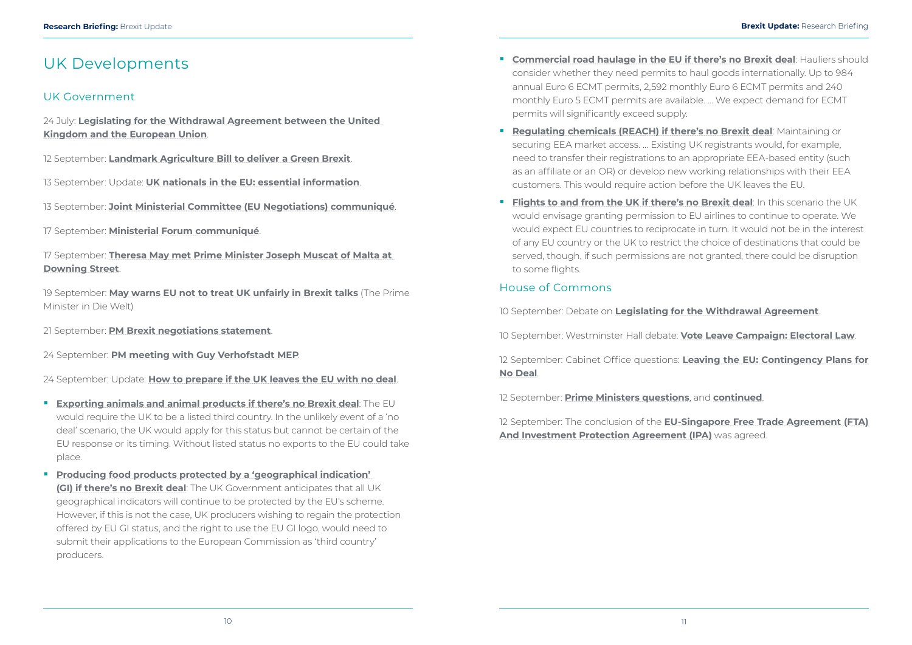## <span id="page-8-0"></span>UK Developments

#### UK Government

24 July: **[Legislating for the Withdrawal Agreement between the United](https://www.gov.uk/government/uploads/system/uploads/attachment_data/file/728757/6.4737_Cm9674_Legislating_for_the_withdrawl_agreement_FINAL_230718_v3a_WEB_PM.pdf)  [Kingdom and the European Union](https://www.gov.uk/government/uploads/system/uploads/attachment_data/file/728757/6.4737_Cm9674_Legislating_for_the_withdrawl_agreement_FINAL_230718_v3a_WEB_PM.pdf)**.

12 September: **[Landmark Agriculture Bill to deliver a Green Brexit](https://www.gov.uk/government/news/landmark-agriculture-bill-to-deliver-a-green-brexit)**.

13 September: Update: **[UK nationals in the EU: essential information](https://www.gov.uk/guidance/advice-for-british-nationals-travelling-and-living-in-europe)**.

13 September: **[Joint Ministerial Committee \(EU Negotiations\) communiqué](https://assets.publishing.service.gov.uk/government/uploads/system/uploads/attachment_data/file/740671/Joint_Ministerial_Committee_Communique_13_September_2018.pdf)**.

17 September: **[Ministerial Forum communiqué](https://assets.publishing.service.gov.uk/government/uploads/system/uploads/attachment_data/file/741215/Ministerial_Forum_EU_Negotiations_Communique_17_Sept_2018.pdf)**.

17 September: **[Theresa May met Prime Minister Joseph Muscat of Malta at](https://www.gov.uk/government/news/pm-meets-prime-minister-of-malta-17-september-2018)  [Downing Street](https://www.gov.uk/government/news/pm-meets-prime-minister-of-malta-17-september-2018)**.

19 September: **[May warns EU not to treat UK unfairly in Brexit talks](https://www.welt.de/debatte/kommentare/article181579426/Theresa-May-May-warns-EU-not-to-treat-UK-unfairly-in-Brexit-talks.html)** (The Prime Minister in Die Welt)

21 September: **[PM Brexit negotiations statement](https://www.gov.uk/government/news/pm-brexit-negotiations-statement-21-september-2018)**.

24 September: **[PM meeting with Guy Verhofstadt MEP](https://www.gov.uk/government/news/pm-meeting-with-guy-verhofstadt-mep-24-september-2018)**.

24 September: Update: **[How to prepare if the UK leaves the EU with no deal](https://www.gov.uk/government/collections/how-to-prepare-if-the-uk-leaves-the-eu-with-no-deal)**.

- **[Exporting animals and animal products if there's no Brexit deal](https://www.gov.uk/government/publications/exporting-animals-and-animal-products-if-theres-no-brexit-deal/exporting-animals-and-animal-products-if-theres-no-brexit-deal)**: The EU would require the UK to be a listed third country. In the unlikely event of a 'no deal' scenario, the UK would apply for this status but cannot be certain of the EU response or its timing. Without listed status no exports to the EU could take place.
- **Producing food products protected by a 'geographical indication' [\(GI\) if there's no Brexit deal](https://www.gov.uk/government/publications/protecting-geographical-food-and-drink-names-if-theres-no-brexit-deal/producing-food-products-protected-by-a-geographical-indication-if-theres-no-brexit-deal)**: The UK Government anticipates that all UK geographical indicators will continue to be protected by the EU's scheme. However, if this is not the case, UK producers wishing to regain the protection offered by EU GI status, and the right to use the EU GI logo, would need to submit their applications to the European Commission as 'third country' producers.
- **[Commercial road haulage in the EU if there's no Brexit deal](https://www.gov.uk/government/publications/commercial-road-haulage-in-the-eu-if-theres-no-brexit-deal/commercial-road-haulage-in-the-eu-if-theres-no-brexit-deal): Hauliers should** consider whether they need permits to haul goods internationally. Up to 984 annual Euro 6 ECMT permits, 2,592 monthly Euro 6 ECMT permits and 240 monthly Euro 5 ECMT permits are available. … We expect demand for ECMT permits will significantly exceed supply.
- **[Regulating chemicals \(REACH\) if there's no Brexit deal](https://www.gov.uk/government/publications/regulating-chemicals-reach-if-theres-no-brexit-deal/regulating-chemicals-reach-if-theres-no-brexit-deal)**: Maintaining or securing EEA market access. … Existing UK registrants would, for example, need to transfer their registrations to an appropriate EEA-based entity (such as an affiliate or an OR) or develop new working relationships with their EEA customers. This would require action before the UK leaves the EU.
- **[Flights to and from the UK if there's no Brexit deal](https://www.gov.uk/government/publications/flights-to-and-from-the-uk-if-theres-no-brexit-deal/flights-to-and-from-the-uk-if-theres-no-brexit-deal):** In this scenario the UK would envisage granting permission to EU airlines to continue to operate. We would expect EU countries to reciprocate in turn. It would not be in the interest of any EU country or the UK to restrict the choice of destinations that could be served, though, if such permissions are not granted, there could be disruption to some flights.

#### House of Commons

10 September: Debate on **[Legislating for the Withdrawal Agreement](https://hansard.parliament.uk/commons/2018-09-10/debates/89FD04B8-62FB-424A-932D-BEE6BE7BCFD8/LegislatingForTheWithdrawalAgreement)**.

10 September: Westminster Hall debate: **[Vote Leave Campaign: Electoral Law](https://hansard.parliament.uk/commons/2018-09-10/debates/765648D6-5872-49B6-AA13-4E9AC0DA923C/VoteLeaveCampaignElectoralLaw)**.

12 September: Cabinet Office questions: **[Leaving the EU: Contingency Plans for](https://hansard.parliament.uk/commons/2018-09-12/debates/B04D3BF7-40B1-4048-8B14-70775FA91751/LeavingTheEUContingencyPlansForNoDeal)  [No Deal](https://hansard.parliament.uk/commons/2018-09-12/debates/B04D3BF7-40B1-4048-8B14-70775FA91751/LeavingTheEUContingencyPlansForNoDeal)**.

12 September: **[Prime Ministers questions](https://hansard.parliament.uk/commons/2018-09-12/debates/A41D81F6-2467-4013-AAF4-F272BFA6FDFB/Engagements)**, and **[continued](https://hansard.parliament.uk/commons/2018-09-12/debates/0F8773F3-7328-490E-B764-B7DEC9737108/Engagements)**.

12 September: The conclusion of the **[EU-Singapore Free Trade Agreement \(FTA\)](https://hansard.parliament.uk/commons/2018-09-12/debates/C6C74A9C-67B4-4A37-AADE-69B95EFFA628/EU-SingaporeFreeTradeAgreement(FTA)AndInvestmentProtectionAgreement(IPA))  [And Investment Protection Agreement \(IPA\)](https://hansard.parliament.uk/commons/2018-09-12/debates/C6C74A9C-67B4-4A37-AADE-69B95EFFA628/EU-SingaporeFreeTradeAgreement(FTA)AndInvestmentProtectionAgreement(IPA))** was agreed.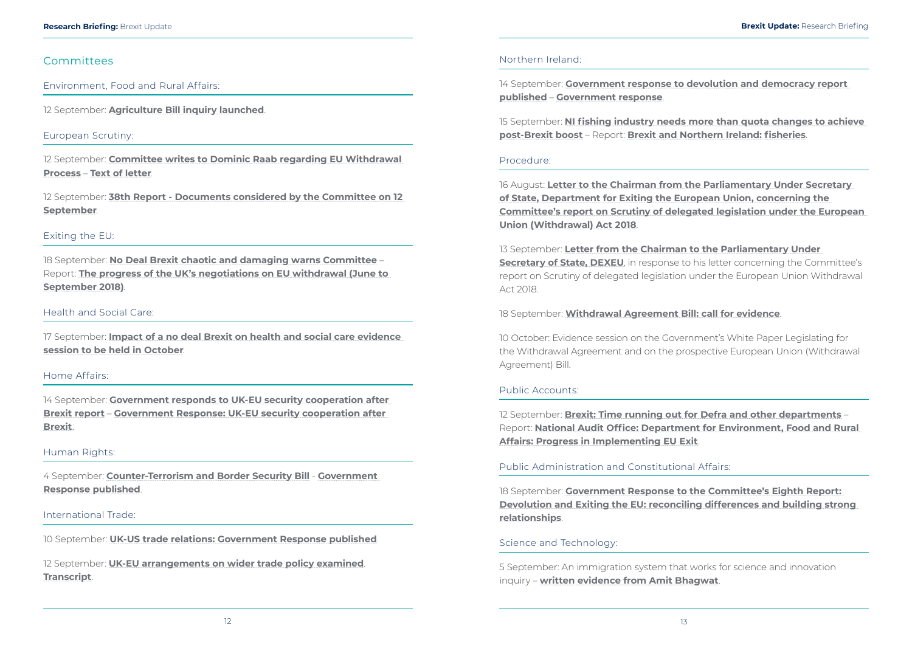#### <span id="page-9-0"></span>Committees

Environment, Food and Rural Affairs:

12 September: **[Agriculture Bill inquiry launched](https://www.parliament.uk/business/committees/committees-a-z/commons-select/environment-food-and-rural-affairs-committee/news-parliament-2017/agriculture-bill-inquiry-launch-17-19/)**.

#### European Scrutiny:

12 September: **[Committee writes to Dominic Raab regarding EU Withdrawal](https://www.parliament.uk/business/committees/committees-a-z/commons-select/european-scrutiny-committee/news-parliament-2017/eu-withdrawal-raab-letter-17-19/)  [Process](https://www.parliament.uk/business/committees/committees-a-z/commons-select/european-scrutiny-committee/news-parliament-2017/eu-withdrawal-raab-letter-17-19/)** – **[Text of letter](https://www.parliament.uk/documents/commons-committees/european-scrutiny/dominic-raab-follow-up-120918.pdf)**.

12 September: **[38th Report - Documents considered by the Committee on 12](https://publications.parliament.uk/pa/cm201719/cmselect/cmeuleg/301-xxxvii/30102.htm)  [September](https://publications.parliament.uk/pa/cm201719/cmselect/cmeuleg/301-xxxvii/30102.htm)**.

#### Exiting the EU:

18 September: **[No Deal Brexit chaotic and damaging warns Committee](https://www.parliament.uk/business/committees/committees-a-z/commons-select/exiting-the-european-union-committee/news-parliament-2017/progress-negotiations-june-september-report-published-17-19/)** – Report: **[The progress of the UK's negotiations on EU withdrawal \(June to](https://publications.parliament.uk/pa/cm201719/cmselect/cmexeu/1554/155402.htm)  [September 2018\)](https://publications.parliament.uk/pa/cm201719/cmselect/cmexeu/1554/155402.htm)**.

#### Health and Social Care:

17 September: **[Impact of a no deal Brexit on health and social care evidence](https://www.parliament.uk/business/committees/committees-a-z/commons-select/health-and-social-care-committee/news/brexit-health-impact-of-no-deal-launch-17-19/)  [session to be held in October](https://www.parliament.uk/business/committees/committees-a-z/commons-select/health-and-social-care-committee/news/brexit-health-impact-of-no-deal-launch-17-19/)**.

#### Home Affairs:

14 September: **[Government responds to UK-EU security cooperation after](https://www.parliament.uk/business/committees/committees-a-z/commons-select/home-affairs-committee/news-parliament-2017/uk-eu-security-government-response-17-19/)  [Brexit report](https://www.parliament.uk/business/committees/committees-a-z/commons-select/home-affairs-committee/news-parliament-2017/uk-eu-security-government-response-17-19/)** – **[Government Response: UK-EU security cooperation after](https://publications.parliament.uk/pa/cm201719/cmselect/cmhaff/1566/156602.htm)  [Brexit](https://publications.parliament.uk/pa/cm201719/cmselect/cmhaff/1566/156602.htm)**.

#### Human Rights:

4 September: **[Counter-Terrorism and Border Security Bill](https://www.parliament.uk/business/committees/committees-a-z/joint-select/human-rights-committee/news-parliament-2017/conter-terrorism-border-security-bill-government-response-published-17-19/)** - **[Government](https://www.parliament.uk/documents/joint-committees/human-rights/govt-response-counter-terrorism-border-security-bill.pdf)  [Response published](https://www.parliament.uk/documents/joint-committees/human-rights/govt-response-counter-terrorism-border-security-bill.pdf)**.

#### International Trade:

10 September: **[UK-US trade relations: Government Response published](https://www.parliament.uk/business/committees/committees-a-z/commons-select/international-trade-committee/news-parliament-2017/uk-us-trade-government-response-published-17-19/)**.

12 September: **[UK-EU arrangements on wider trade policy examined](https://www.parliament.uk/business/committees/committees-a-z/commons-select/international-trade-committee/news-parliament-2017/uk-eu-arrangements-trade-policy-evidence-17-19/)**. **[Transcript](http://data.parliament.uk/writtenevidence/committeeevidence.svc/evidencedocument/international-trade-committee/the-impact-of-uk-eu-arrangements-on-wider-uk-trade-policy/oral/89997.html)**.

#### Northern Ireland:

14 September: **[Government response to devolution and democracy report](https://www.parliament.uk/business/committees/committees-a-z/commons-select/northern-ireland-affairs-committee/news-parliament-2017/devolution-democracy-government-response-17-19/)  [published](https://www.parliament.uk/business/committees/committees-a-z/commons-select/northern-ireland-affairs-committee/news-parliament-2017/devolution-democracy-government-response-17-19/)** – **[Government response](https://publications.parliament.uk/pa/cm201719/cmselect/cmniaf/1589/158902.htm)**.

15 September: **[NI fishing industry needs more than quota changes to achieve](https://www.parliament.uk/business/committees/committees-a-z/commons-select/northern-ireland-affairs-committee/news-parliament-2017/brexit-fisheries-report-publication-17-19/)  [post-Brexit boost](https://www.parliament.uk/business/committees/committees-a-z/commons-select/northern-ireland-affairs-committee/news-parliament-2017/brexit-fisheries-report-publication-17-19/)** – Report: **[Brexit and Northern Ireland: fisheries](https://publications.parliament.uk/pa/cm201719/cmselect/cmniaf/878/87802.htm)**.

#### Procedure:

16 August: **[Letter to the Chairman from the Parliamentary Under Secretary](https://www.parliament.uk/documents/commons-committees/procedure/Letter-to-Chairman-from-Parliamentary-Under-Secretary-of-State-DEXEU-concerning-the-Committee-report-on-Scrutiny-of-delegated-legislation-under-the-European-Union-(Withdrawal)-Act-2018.pdf)  [of State, Department for Exiting the European Union, concerning the](https://www.parliament.uk/documents/commons-committees/procedure/Letter-to-Chairman-from-Parliamentary-Under-Secretary-of-State-DEXEU-concerning-the-Committee-report-on-Scrutiny-of-delegated-legislation-under-the-European-Union-(Withdrawal)-Act-2018.pdf)  [Committee's report on Scrutiny of delegated legislation under the European](https://www.parliament.uk/documents/commons-committees/procedure/Letter-to-Chairman-from-Parliamentary-Under-Secretary-of-State-DEXEU-concerning-the-Committee-report-on-Scrutiny-of-delegated-legislation-under-the-European-Union-(Withdrawal)-Act-2018.pdf)  [Union \(Withdrawal\) Act 2018](https://www.parliament.uk/documents/commons-committees/procedure/Letter-to-Chairman-from-Parliamentary-Under-Secretary-of-State-DEXEU-concerning-the-Committee-report-on-Scrutiny-of-delegated-legislation-under-the-European-Union-(Withdrawal)-Act-2018.pdf)**.

13 September: **[Letter from the Chairman to the Parliamentary Under](https://www.parliament.uk/documents/commons-committees/procedure/Letter-from-Chair-to-Parliamentary-Under-Secretary-DEXEU-concerning-Committee-report-on-scrutiny-of-delegated-legislation-under-European-Withdrawal-Act-2018.pdf)  [Secretary of State, DEXEU](https://www.parliament.uk/documents/commons-committees/procedure/Letter-from-Chair-to-Parliamentary-Under-Secretary-DEXEU-concerning-Committee-report-on-scrutiny-of-delegated-legislation-under-European-Withdrawal-Act-2018.pdf)**, in response to his letter concerning the Committee's report on Scrutiny of delegated legislation under the European Union Withdrawal Act 2018.

18 September: **[Withdrawal Agreement Bill: call for evidence](https://www.parliament.uk/business/committees/committees-a-z/commons-select/procedure-committee/news-parliament-2017/committee-invites-submissions-withdrawal-agreement-bill-17-19/)**.

10 October: Evidence session on the Government's White Paper Legislating for the Withdrawal Agreement and on the prospective European Union (Withdrawal Agreement) Bill.

#### Public Accounts:

12 September: **[Brexit: Time running out for Defra and other departments](https://www.parliament.uk/business/committees/committees-a-z/commons-select/public-accounts-committee/news-parliament-2017/exiting-eu-defra-progress-nao-chairs-statement-17-19/)** – Report: **[National Audit Office: Department for Environment, Food and Rural](https://www.nao.org.uk/report/department-for-environment-food-and-rural-affairs-progress-in-implementing-eu-exit%20/)  [Affairs: Progress in Implementing EU Exit](https://www.nao.org.uk/report/department-for-environment-food-and-rural-affairs-progress-in-implementing-eu-exit%20/)**.

#### Public Administration and Constitutional Affairs:

18 September: **[Government Response to the Committee's Eighth Report:](https://publications.parliament.uk/pa/cm201719/cmselect/cmpubadm/1574/157402.htm)  [Devolution and Exiting the EU: reconciling differences and building strong](https://publications.parliament.uk/pa/cm201719/cmselect/cmpubadm/1574/157402.htm)  [relationships](https://publications.parliament.uk/pa/cm201719/cmselect/cmpubadm/1574/157402.htm)**.

#### Science and Technology:

5 September: An immigration system that works for science and innovation inquiry – **[written evidence from Amit Bhagwat](http://data.parliament.uk/writtenevidence/committeeevidence.svc/evidencedocument/science-and-technology-committee/an-immigration-system-that-works-for-science-and-innovation/written/88898.html)**.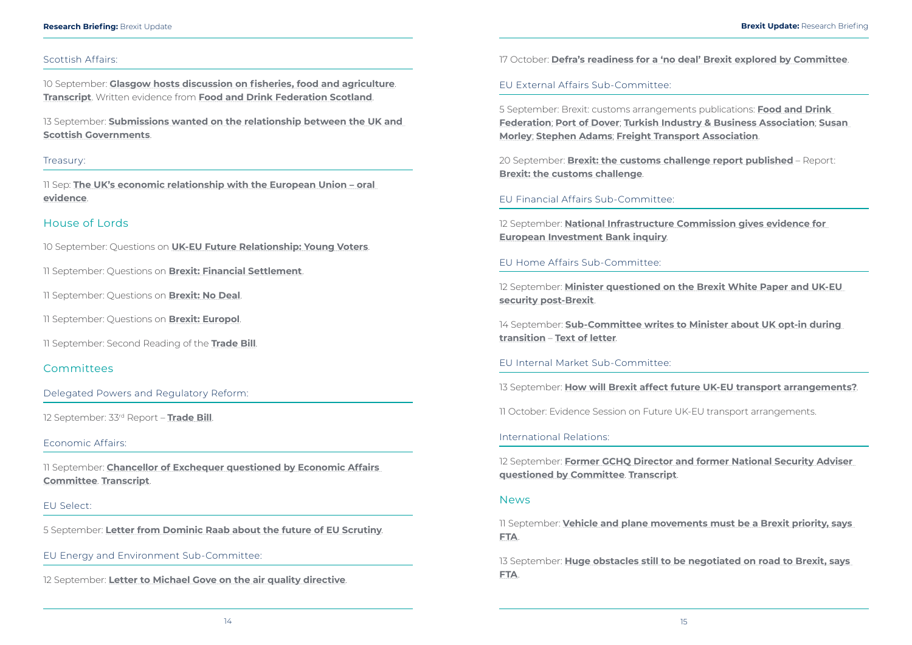#### <span id="page-10-0"></span>**Research Briefing:** Brexit Update **Brexit Update:** Research Briefing

#### Scottish Affairs:

10 September: **[Glasgow hosts discussion on fisheries, food and agriculture](https://www.parliament.uk/business/committees/committees-a-z/commons-select/scottish-affairs-committee/news-parliament-2017/brexit-trade-fisheries-glasgow-evidence-17-19/)**. **[Transcript](http://data.parliament.uk/writtenevidence/committeeevidence.svc/evidencedocument/scottish-affairs-committee/scotland-and-brexit-trade-and-foreign-investment/oral/89497.html)**. Written evidence from **[Food and Drink Federation Scotland](http://data.parliament.uk/writtenevidence/committeeevidence.svc/evidencedocument/scottish-affairs-committee/scotland-and-brexit-trade-and-foreign-investment/written/86869.html)**.

13 September: **[Submissions wanted on the relationship between the UK and](https://www.parliament.uk/business/committees/committees-a-z/commons-select/scottish-affairs-committee/news-parliament-2017/relationship-uk-scottish-governments-launch-17-19/)  [Scottish Governments](https://www.parliament.uk/business/committees/committees-a-z/commons-select/scottish-affairs-committee/news-parliament-2017/relationship-uk-scottish-governments-launch-17-19/)**.

#### Treasury:

11 Sep: **[The UK's economic relationship with the European Union – oral](http://data.parliament.uk/writtenevidence/committeeevidence.svc/evidencedocument/treasury-committee/the-uks-economic-relationship-with-the-european-union/oral/89513.html)  [evidence](http://data.parliament.uk/writtenevidence/committeeevidence.svc/evidencedocument/treasury-committee/the-uks-economic-relationship-with-the-european-union/oral/89513.html)**.

#### House of Lords

10 September: Questions on **[UK-EU Future Relationship: Young Voters](https://hansard.parliament.uk/Lords/2018-09-10/debates/1D69D46F-DD6C-48F7-8F9B-2082668282A2/UK-EUFutureRelationshipYoungVoters)**.

11 September: Questions on **[Brexit: Financial Settlement](https://hansard.parliament.uk/Lords/2018-09-11/debates/01D4CD7A-2768-4E88-B61D-C9F81E00B10D/BrexitFinancialSettlement)**.

11 September: Questions on **[Brexit: No Deal](https://hansard.parliament.uk/Lords/2018-09-11/debates/AFC8FE52-DD9A-478D-B988-83326359FB74/BrexitNoDeal)**.

11 September: Questions on **[Brexit: Europol](https://hansard.parliament.uk/Lords/2018-09-11/debates/DAA30CE4-CDA6-433F-B932-68EA601A6426/BrexitEuropol)**.

11 September: Second Reading of the **[Trade Bill](https://hansard.parliament.uk/Lords/2018-09-11/debates/72AA2D31-42E3-4660-ADE8-A87F44B77CFA/TradeBill)**.

#### Committees

Delegated Powers and Regulatory Reform:

12 September: 33rd Report – **[Trade Bill](https://publications.parliament.uk/pa/ld201719/ldselect/lddelreg/186/18602.htm)**.

#### Economic Affairs:

11 September: **[Chancellor of Exchequer questioned by Economic Affairs](https://www.parliament.uk/business/committees/committees-a-z/lords-select/economic-affairs-committee/news-parliament-2017/chancellor-of-exchequer-questioned-by-economic-affairs-committee/)  [Committee](https://www.parliament.uk/business/committees/committees-a-z/lords-select/economic-affairs-committee/news-parliament-2017/chancellor-of-exchequer-questioned-by-economic-affairs-committee/)**. **[Transcript](http://data.parliament.uk/writtenevidence/committeeevidence.svc/evidencedocument/economic-affairs-committee/chancellor-of-the-exchequer/oral/89563.html)**.

#### EU Select:

5 September: **[Letter from Dominic Raab about the future of EU Scrutiny](https://www.parliament.uk/documents/lords-committees/eu-select/scrutiny%20work/dominic-raab-scrutiny-letter.pdf)**.

EU Energy and Environment Sub-Committee:

12 September: **[Letter to Michael Gove on the air quality directive](https://www.parliament.uk/documents/lords-committees/eu-energy-environment-subcommittee/Correspondence/Letter-to-Rt-Hon-Michael-Gove-MP-12-September-2018.pdf)**.

17 October: **[Defra's readiness for a 'no deal' Brexit explored by Committee](https://www.parliament.uk/business/committees/committees-a-z/lords-select/eu-energy-environment-subcommittee/news-parliament-2017/defra-no-deal-readiness/)**.

EU External Affairs Sub-Committee:

5 September: Brexit: customs arrangements publications: **[Food and Drink](http://data.parliament.uk/writtenevidence/committeeevidence.svc/evidencedocument/eu-external-affairs-subcommittee/brexit-customs-arrangements/written/87234.html)  [Federation](http://data.parliament.uk/writtenevidence/committeeevidence.svc/evidencedocument/eu-external-affairs-subcommittee/brexit-customs-arrangements/written/87234.html)**; **[Port of Dover](http://data.parliament.uk/writtenevidence/committeeevidence.svc/evidencedocument/eu-external-affairs-subcommittee/brexit-customs-arrangements/written/87236.html)**; **[Turkish Industry & Business Association](http://data.parliament.uk/writtenevidence/committeeevidence.svc/evidencedocument/eu-external-affairs-subcommittee/brexit-customs-arrangements/written/87238.html)**; **[Susan](http://data.parliament.uk/writtenevidence/committeeevidence.svc/evidencedocument/eu-external-affairs-subcommittee/brexit-customs-arrangements/written/87499.html)  [Morley](http://data.parliament.uk/writtenevidence/committeeevidence.svc/evidencedocument/eu-external-affairs-subcommittee/brexit-customs-arrangements/written/87499.html)**; **[Stephen Adams](http://data.parliament.uk/writtenevidence/committeeevidence.svc/evidencedocument/eu-external-affairs-subcommittee/brexit-customs-arrangements/written/87521.html)**; **[Freight Transport Association](http://data.parliament.uk/writtenevidence/committeeevidence.svc/evidencedocument/eu-external-affairs-subcommittee/brexit-customs-arrangements/written/87522.html)**.

20 September: **[Brexit: the customs challenge report published](https://www.parliament.uk/business/committees/committees-a-z/lords-select/eu-external-affairs-subcommittee/news-parliament-2017/brexit-customs-report-publication/)** – Report: **[Brexit: the customs challenge](https://publications.parliament.uk/pa/ld201719/ldselect/ldeucom/187/187.pdf)**.

EU Financial Affairs Sub-Committee:

12 September: **[National Infrastructure Commission gives evidence for](https://www.parliament.uk/business/committees/committees-a-z/lords-select/eu-financial-affairs-subcommittee/news-parliament-2017/nic-evidence-session-12092018/)  [European Investment Bank inquiry](https://www.parliament.uk/business/committees/committees-a-z/lords-select/eu-financial-affairs-subcommittee/news-parliament-2017/nic-evidence-session-12092018/)**.

EU Home Affairs Sub-Committee:

12 September: **[Minister questioned on the Brexit White Paper and UK-EU](https://www.parliament.uk/business/committees/committees-a-z/lords-select/eu-home-affairs-subcommittee/news-parliament-2017/policing-minister-evidence-session/)  [security post-Brexit](https://www.parliament.uk/business/committees/committees-a-z/lords-select/eu-home-affairs-subcommittee/news-parliament-2017/policing-minister-evidence-session/)**.

14 September: **[Sub-Committee writes to Minister about UK opt-in during](https://www.parliament.uk/business/committees/committees-a-z/lords-select/eu-home-affairs-subcommittee/news-parliament-2017/letter-opt-in-during-transition/)  [transition](https://www.parliament.uk/business/committees/committees-a-z/lords-select/eu-home-affairs-subcommittee/news-parliament-2017/letter-opt-in-during-transition/)** – **[Text of letter](https://www.parliament.uk/documents/lords-committees/eu-home-affairs-subcommittee/letter-from-lord-jay-to-nick%20hurd-mp-14-september-2018.pdf)**.

EU Internal Market Sub-Committee:

13 September: **[How will Brexit affect future UK-EU transport arrangements?](https://www.parliament.uk/business/committees/committees-a-z/lords-select/eu-internal-market-subcommittee/news-parliament-2017/future-uk-eu-transport-evidence-session/)**.

11 October: Evidence Session on Future UK-EU transport arrangements.

International Relations:

12 September: **[Former GCHQ Director and former National Security Adviser](https://www.parliament.uk/business/committees/committees-a-z/lords-select/international-relations-committee/news-parliament-2017/hannigan-et-al-evidence/)  [questioned by Committee](https://www.parliament.uk/business/committees/committees-a-z/lords-select/international-relations-committee/news-parliament-2017/hannigan-et-al-evidence/)**. **[Transcript](http://data.parliament.uk/writtenevidence/committeeevidence.svc/evidencedocument/international-relations-committee/foreign-policy-in-changed-world-conditions/oral/89977.html)**.

#### **News**

11 September: **[Vehicle and plane movements must be a Brexit priority, says](https://fta.co.uk/media/press-releases/2018/september/vehicle-and-plane-movements-must-be-a-brexit-prior)  [FTA](https://fta.co.uk/media/press-releases/2018/september/vehicle-and-plane-movements-must-be-a-brexit-prior)**.

13 September: **[Huge obstacles still to be negotiated on road to Brexit, says](https://fta.co.uk/media/press-releases/2018/september/huge-obstacles-still-to-be-negotiated-on-road-to-b)  [FTA](https://fta.co.uk/media/press-releases/2018/september/huge-obstacles-still-to-be-negotiated-on-road-to-b)**.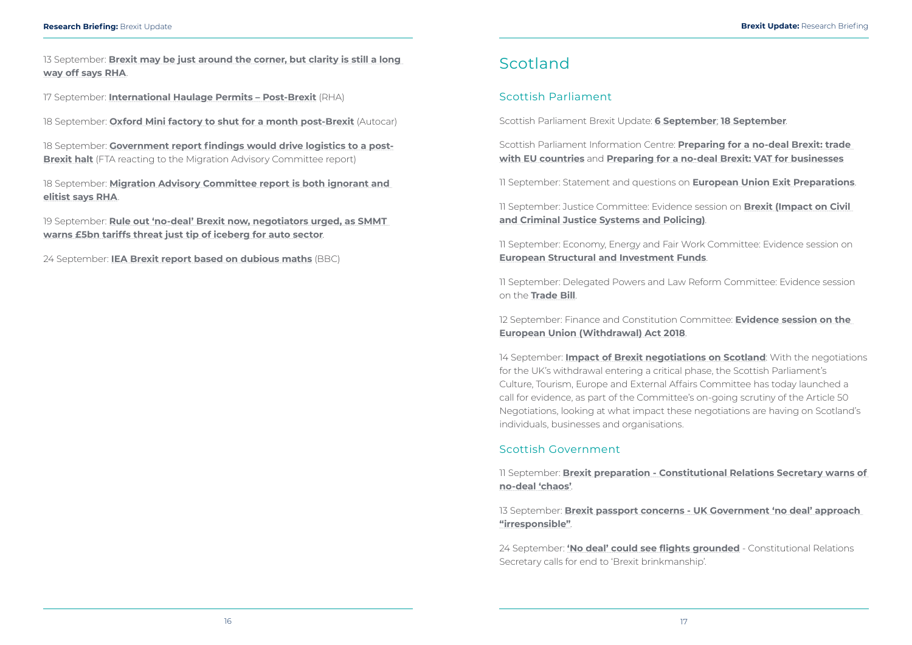<span id="page-11-0"></span>13 September: **[Brexit may be just around the corner, but clarity is still a long](https://www.rha.uk.net/news/press-releases/2018-09-september/brexit-may-be-just-around-the-corner-but-clarity-is-still-a-long-way-off-says-rha)  [way off says RHA](https://www.rha.uk.net/news/press-releases/2018-09-september/brexit-may-be-just-around-the-corner-but-clarity-is-still-a-long-way-off-says-rha)**.

18 September: **[Government report findings would drive logistics to a post-](https://fta.co.uk/media/press-releases/2018/september/government-report-findings-would-drive-logistics-t)[Brexit halt](https://fta.co.uk/media/press-releases/2018/september/government-report-findings-would-drive-logistics-t)** (FTA reacting to the Migration Advisory Committee report)

17 September: **[International Haulage Permits – Post-Brexit](https://www.rha.uk.net/news/press-releases/2018-09-september/international-haulage-permits-–-post-brexit)** (RHA)

18 September: **[Oxford Mini factory to shut for a month post-Brexit](https://www.autocar.co.uk/car-news/industry/oxford-mini-factory-shut-month-post-brexit)** (Autocar)

18 September: **[Migration Advisory Committee report is both ignorant and](https://www.rha.uk.net/news/press-releases/2018-09-september/migration-advisory-committee-report-is-both-ignorant-and-elitist-says-rha)  [elitist says RHA](https://www.rha.uk.net/news/press-releases/2018-09-september/migration-advisory-committee-report-is-both-ignorant-and-elitist-says-rha)**.

19 September: **[Rule out 'no-deal' Brexit now, negotiators urged, as SMMT](https://www.smmt.co.uk/2018/09/rule-out-no-deal-brexit-now-negotiators-urged-as-smmt-warns-5bn-tariffs-threat-just-tip-of-iceberg-for-auto-sector/)  [warns £5bn tariffs threat just tip of iceberg for auto sector](https://www.smmt.co.uk/2018/09/rule-out-no-deal-brexit-now-negotiators-urged-as-smmt-warns-5bn-tariffs-threat-just-tip-of-iceberg-for-auto-sector/)**.

24 September: **[IEA Brexit report based on dubious maths](https://www.bbc.co.uk/news/uk-45625724)** (BBC)

## Scotland

### Scottish Parliament

Scottish Parliament Brexit Update: **[6 September](http://www.parliament.scot/S5_European/General%20Documents/CTEER_Brexit_update_2018.09.06.pdf)**; **[18 September](http://www.parliament.scot/S5_European/General%20Documents/Brexitupdate201809018.pdf)**.

Scottish Parliament Information Centre: **[Preparing for a no-deal Brexit: trade](https://spice-spotlight.scot/2018/09/07/preparing-for-a-no-deal-brexit-trade-with-eu-countries/)  [with EU countries](https://spice-spotlight.scot/2018/09/07/preparing-for-a-no-deal-brexit-trade-with-eu-countries/)** and **[Preparing for a no-deal Brexit: VAT for businesses](https://spice-spotlight.scot/2018/09/25/preparing-for-a-no-deal-brexit-vat-for-businesses/)**

11 September: Statement and questions on **[European Union Exit Preparations](http://www.parliament.scot/parliamentarybusiness/report.aspx?r=11653&i=105578)**.

11 September: Justice Committee: Evidence session on **[Brexit \(Impact on Civil](http://www.parliament.scot/parliamentarybusiness/report.aspx?r=11659&i=105651)  [and Criminal Justice Systems and Policing\)](http://www.parliament.scot/parliamentarybusiness/report.aspx?r=11659&i=105651)**.

11 September: Economy, Energy and Fair Work Committee: Evidence session on **[European Structural and Investment Funds](http://www.parliament.scot/parliamentarybusiness/report.aspx?r=11652&i=105570)**.

11 September: Delegated Powers and Law Reform Committee: Evidence session on the **[Trade Bill](http://www.parliament.scot/parliamentarybusiness/report.aspx?r=11656&i=105603)**.

12 September: Finance and Constitution Committee: **[Evidence session on the](http://www.parliament.scot/parliamentarybusiness/report.aspx?r=11663&i=105673)  [European Union \(Withdrawal\) Act 2018](http://www.parliament.scot/parliamentarybusiness/report.aspx?r=11663&i=105673)**.

14 September: **[Impact of Brexit negotiations on Scotland](http://www.parliament.scot/newsandmediacentre/109633.aspx)**: With the negotiations for the UK's withdrawal entering a critical phase, the Scottish Parliament's Culture, Tourism, Europe and External Affairs Committee has today launched a call for evidence, as part of the Committee's on-going scrutiny of the Article 50 Negotiations, looking at what impact these negotiations are having on Scotland's individuals, businesses and organisations.

### Scottish Government

11 September: **[Brexit preparation - Constitutional Relations Secretary warns of](https://news.gov.scot/news/brexit-preparation)  [no-deal 'chaos'](https://news.gov.scot/news/brexit-preparation)**.

13 September: **[Brexit passport concerns - UK Government 'no deal' approach](https://news.gov.scot/news/brexit-passport-concerns)  ["irresponsible"](https://news.gov.scot/news/brexit-passport-concerns)**.

24 September: **['No deal' could see flights grounded](https://news.gov.scot/news/no-deal-could-see-flights-grounded)** - Constitutional Relations Secretary calls for end to 'Brexit brinkmanship'.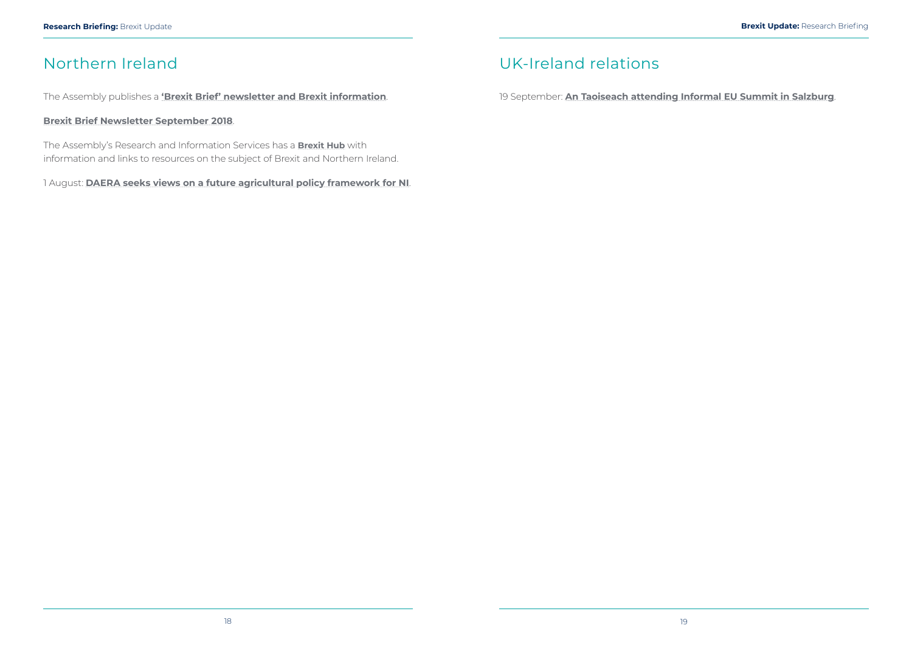## <span id="page-12-0"></span>Northern Ireland

The Assembly publishes a **['Brexit Brief' newsletter and Brexit information](http://www.niassembly.gov.uk/assembly-business/brexit-brief/)**.

#### **[Brexit Brief Newsletter September 2018](http://www.niassembly.gov.uk/assembly-business/brexit-brief/brexit-brief-newsletters/issue-2--september-2018/)**.

The Assembly's Research and Information Services has a **[Brexit Hub](http://www.niassembly.gov.uk/assembly-business/research-and-information-service-raise/brexit-and-ni/?utm_source=BexitHub&utm_medium=website&utm_campaign=Brexit_Hub_Raise)** with information and links to resources on the subject of Brexit and Northern Ireland.

1 August: **[DAERA seeks views on a future agricultural policy framework for NI](https://www.daera-ni.gov.uk/news/daera-seeks-views-future-agricultural-policy-framework-ni?utm_source=POLITICO.EU&utm_campaign=4e90aa4ef2-EMAIL_CAMPAIGN_2018_08_02_07_08&utm_medium=email&utm_term=0_10959edeb5-4e90aa4ef2-190005549)**.

## UK-Ireland relations

19 September: **[An Taoiseach attending Informal EU Summit in Salzburg](https://merrionstreet.ie/en/News-Room/News/An_Taoiseach_attending_Informal_EU_Summit_in_Salzburg.html)**.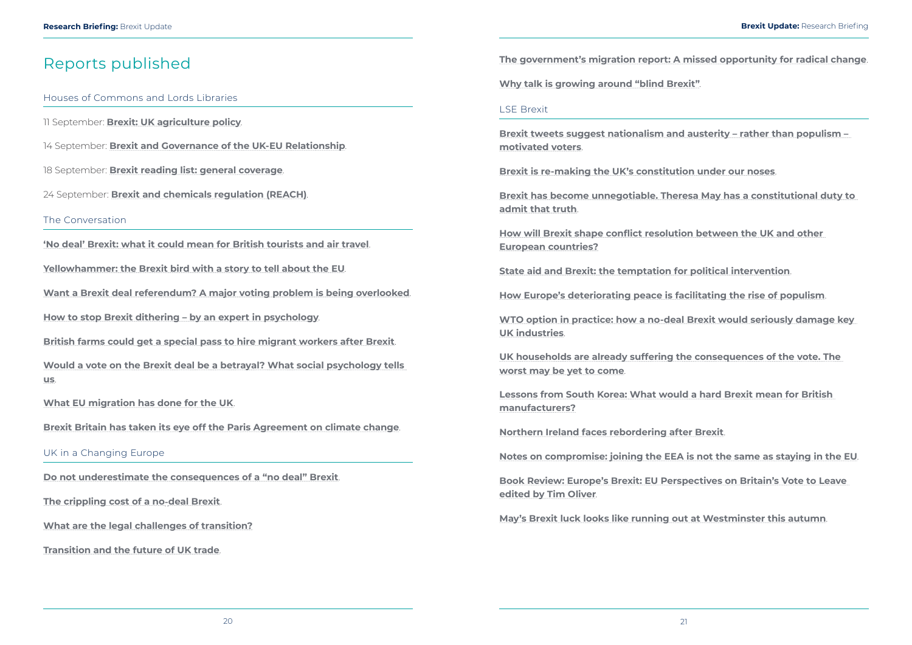## <span id="page-13-0"></span>Reports published

#### Houses of Commons and Lords Libraries

11 September: **[Brexit: UK agriculture policy](https://researchbriefings.parliament.uk/ResearchBriefing/Summary/CBP-8218)**.

14 September: **[Brexit and Governance of the UK-EU Relationship](https://researchbriefings.parliament.uk/ResearchBriefing/Summary/CBP-8401)**.

18 September: **[Brexit reading list: general coverage](https://researchbriefings.parliament.uk/ResearchBriefing/Summary/CBP-7958)**.

24 September: **[Brexit and chemicals regulation \(REACH\)](https://researchbriefings.parliament.uk/ResearchBriefing/Summary/CBP-8403)**.

The Conversation

**['No deal' Brexit: what it could mean for British tourists and air travel](https://theconversation.com/no-deal-brexit-what-it-could-mean-for-british-tourists-and-air-travel-103357)**.

**[Yellowhammer: the Brexit bird with a story to tell about the EU](https://theconversation.com/yellowhammer-the-brexit-bird-with-a-story-to-tell-about-the-eu-103066)**.

**[Want a Brexit deal referendum? A major voting problem is being overlooked](https://theconversation.com/want-a-brexit-deal-referendum-a-major-voting-problem-is-being-overlooked-102678)**.

**[How to stop Brexit dithering – by an expert in psychology](https://theconversation.com/how-to-stop-brexit-dithering-by-an-expert-in-psychology-102549)**.

**[British farms could get a special pass to hire migrant workers after Brexit](https://theconversation.com/british-farms-could-get-a-special-pass-to-hire-migrant-workers-after-brexit-103393)**.

**[Would a vote on the Brexit deal be a betrayal? What social psychology tells](https://theconversation.com/would-a-vote-on-the-brexit-deal-be-a-betrayal-what-social-psychology-tells-us-102685)  [us](https://theconversation.com/would-a-vote-on-the-brexit-deal-be-a-betrayal-what-social-psychology-tells-us-102685)**.

**[What EU migration has done for the UK](https://theconversation.com/what-eu-migration-has-done-for-the-uk-103461)**.

**[Brexit Britain has taken its eye off the Paris Agreement on climate change](https://theconversation.com/brexit-britain-has-taken-its-eye-off-the-paris-agreement-on-climate-change-103783)**.

#### UK in a Changing Europe

**[Do not underestimate the consequences of a "no deal" Brexit](http://ukandeu.ac.uk/do-not-underestimate-the-consequences-of-a-no-deal-brexit/)**.

**[The crippling cost of a no](http://ukandeu.ac.uk/the-crippling-cost-of-a-no‑deal-brexit/)‑deal Brexit**.

**[What are the legal challenges of transition?](http://ukandeu.ac.uk/what-are-the-legal-challenges-of-transition/)**

**[Transition and the future of UK trade](http://ukandeu.ac.uk/transition-and-the-future-of-uk-trade/)**.

**[The government's migration report: A missed opportunity for radical change](http://ukandeu.ac.uk/the-governments-migration-report-a-missed-opportunity-for-radical-change/)**.

**[Why talk is growing around "blind Brexit"](http://ukandeu.ac.uk/why-talk-is-growing-around-blind-brexit/)**.

#### LSE Brexit

**[Brexit tweets suggest nationalism and austerity – rather than populism –](http://blogs.lse.ac.uk/brexit/2018/09/13/brexit-tweets-suggest-nationalism-and-austerity-rather-than-populism-motivated-voters/)  [motivated voters](http://blogs.lse.ac.uk/brexit/2018/09/13/brexit-tweets-suggest-nationalism-and-austerity-rather-than-populism-motivated-voters/)**.

**[Brexit is re-making the UK's constitution under our noses](http://blogs.lse.ac.uk/brexit/2018/09/17/brexit-is-re-making-the-uks-constitution-under-our-noses/)**.

**[Brexit has become unnegotiable. Theresa May has a constitutional duty to](http://blogs.lse.ac.uk/brexit/2018/09/25/brexit-has-become-unnegotiable-theresa-may-has-a-constitutional-duty-to-admit-that-truth/)  [admit that truth](http://blogs.lse.ac.uk/brexit/2018/09/25/brexit-has-become-unnegotiable-theresa-may-has-a-constitutional-duty-to-admit-that-truth/)**.

**[How will Brexit shape conflict resolution between the UK and other](http://blogs.lse.ac.uk/brexit/2018/09/18/how-will-brexit-shape-conflict-resolution-within-and-between-eu-member-states/)  [European countries?](http://blogs.lse.ac.uk/brexit/2018/09/18/how-will-brexit-shape-conflict-resolution-within-and-between-eu-member-states/)**

**[State aid and Brexit: the temptation for political intervention](http://blogs.lse.ac.uk/brexit/2018/09/21/state-aid-and-brexit-the-temptation-for-political-intervention/)**.

**[How Europe's deteriorating peace is facilitating the rise of populism](http://blogs.lse.ac.uk/brexit/2018/09/12/how-europes-deteriorating-peace-is-facilitating-the-rise-of-populism/)**.

**[WTO option in practice: how a no-deal Brexit would seriously damage key](http://blogs.lse.ac.uk/brexit/2018/09/13/a-no-deal-wto-option-would-result-in-serious-economic-damage-for-key-uk-industries/)  [UK industries](http://blogs.lse.ac.uk/brexit/2018/09/13/a-no-deal-wto-option-would-result-in-serious-economic-damage-for-key-uk-industries/)**.

**[UK households are already suffering the consequences of the vote. The](http://blogs.lse.ac.uk/brexit/2018/09/24/uk-households-are-already-suffering-the-consequences-of-the-vote-and-the-worst-might-yet-to-come/)  [worst may be yet to come](http://blogs.lse.ac.uk/brexit/2018/09/24/uk-households-are-already-suffering-the-consequences-of-the-vote-and-the-worst-might-yet-to-come/)**.

**[Lessons from South Korea: What would a hard Brexit mean for British](http://blogs.lse.ac.uk/brexit/2018/09/26/lessons-from-south-korea-what-would-a-hard-brexit-mean-for-british-manufacturers/)  [manufacturers?](http://blogs.lse.ac.uk/brexit/2018/09/26/lessons-from-south-korea-what-would-a-hard-brexit-mean-for-british-manufacturers/)**

**[Northern Ireland faces rebordering after Brexit](http://blogs.lse.ac.uk/brexit/2018/09/17/northern-ireland-faces-rebordering-after-brexit/)**.

**[Notes on compromise: joining the EEA is not the same as staying in the EU](http://blogs.lse.ac.uk/brexit/2018/09/19/notes-on-compromise-joining-the-eea-is-not-the-same-as-staying-in-the-eu/)**.

**[Book Review: Europe's Brexit: EU Perspectives on Britain's Vote to Leave](http://blogs.lse.ac.uk/brexit/2018/09/21/book-review-europes-brexit-eu-perspectives-on-britains-vote-to-leave-edited-by-tim-oliver/)  [edited by Tim Oliver](http://blogs.lse.ac.uk/brexit/2018/09/21/book-review-europes-brexit-eu-perspectives-on-britains-vote-to-leave-edited-by-tim-oliver/)**.

**[May's Brexit luck looks like running out at Westminster this autumn](http://blogs.lse.ac.uk/brexit/2018/09/24/mays-brexit-luck-looks-like-running-out-at-westminster-this-autumn/)**.